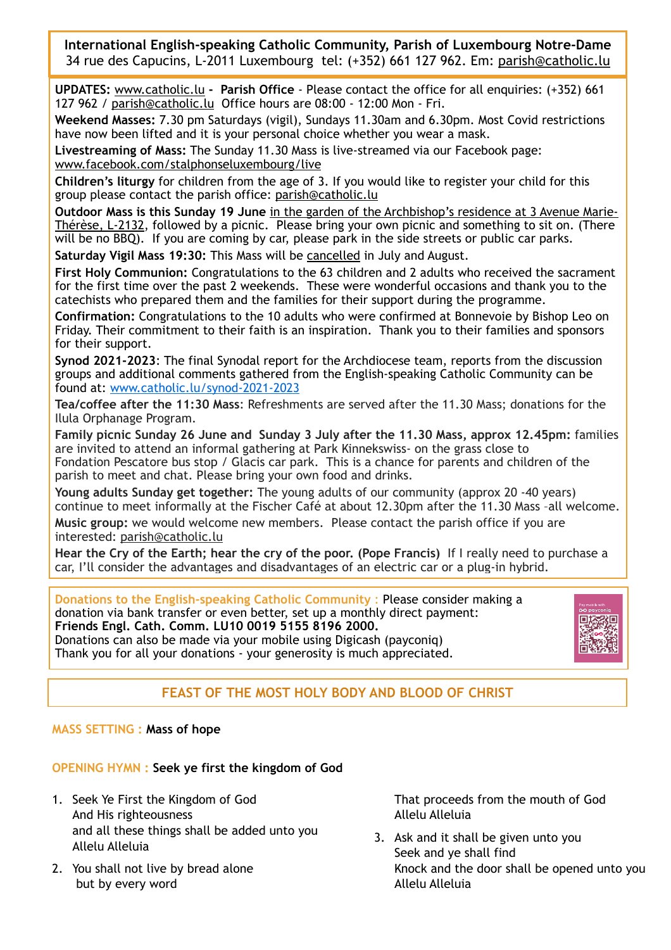**International English-speaking Catholic Community, Parish of Luxembourg Notre-Dame**  34 rue des Capucins, L-2011 Luxembourg tel: (+352) 661 127 962. Em: [parish@catholic.lu](mailto:parish@catholic.lu)

**UPDATES:** [www.catholic.lu](http://www.catholic.lu) **- Parish Office** - Please contact the office for all enquiries: (+352) 661 127 962 / [parish@catholic.lu](mailto:parish@catholic.lu) Office hours are 08:00 - 12:00 Mon - Fri.

**Weekend Masses:** 7.30 pm Saturdays (vigil), Sundays 11.30am and 6.30pm. Most Covid restrictions have now been lifted and it is your personal choice whether you wear a mask.

**Livestreaming of Mass:** The Sunday 11.30 Mass is live-streamed via our Facebook page: [www.facebook.com/stalphonseluxembourg/](http://www.facebook.com/stalphonseluxembourg/)live

**Children's liturgy** for children from the age of 3. If you would like to register your child for this group please contact the parish office: [parish@catholic.lu](mailto:parish@catholic.lu)

**Outdoor Mass is this Sunday 19 June** in the garden of the Archbishop's residence at 3 Avenue Marie-Thérèse, L-2132, followed by a picnic. Please bring your own picnic and something to sit on. (There will be no BBQ). If you are coming by car, please park in the side streets or public car parks.

**Saturday Vigil Mass 19:30:** This Mass will be cancelled in July and August.

**First Holy Communion:** Congratulations to the 63 children and 2 adults who received the sacrament for the first time over the past 2 weekends. These were wonderful occasions and thank you to the catechists who prepared them and the families for their support during the programme.

**Confirmation:** Congratulations to the 10 adults who were confirmed at Bonnevoie by Bishop Leo on Friday. Their commitment to their faith is an inspiration. Thank you to their families and sponsors for their support.

**Synod 2021-2023**: The final Synodal report for the Archdiocese team, reports from the discussion groups and additional comments gathered from the English-speaking Catholic Community can be found at: [www.catholic.lu/synod-2021-2023](http://www.catholic.lu/synod-2021-23)

**Tea/coffee after the 11:30 Mass**: Refreshments are served after the 11.30 Mass; donations for the Ilula Orphanage Program.

**Family picnic Sunday 26 June and Sunday 3 July after the 11.30 Mass, approx 12.45pm:** families are invited to attend an informal gathering at Park Kinnekswiss- on the grass close to Fondation Pescatore bus stop / Glacis car park. This is a chance for parents and children of the parish to meet and chat. Please bring your own food and drinks.

**Young adults Sunday get together:** The young adults of our community (approx 20 -40 years) continue to meet informally at the Fischer Café at about 12.30pm after the 11.30 Mass –all welcome.

**Music group:** we would welcome new members. Please contact the parish office if you are interested: [parish@catholic.lu](mailto:parish@catholic.lu)

**Hear the Cry of the Earth; hear the cry of the poor. (Pope Francis)** If I really need to purchase a car, I'll consider the advantages and disadvantages of an electric car or a plug-in hybrid.

**Donations to the English-speaking Catholic Community** : Please consider making a donation via bank transfer or even better, set up a monthly direct payment: **Friends Engl. Cath. Comm. LU10 0019 5155 8196 2000.**  Donations can also be made via your mobile using Digicash (payconiq)

Thank you for all your donations - your generosity is much appreciated.



# **FEAST OF THE MOST HOLY BODY AND BLOOD OF CHRIST**

## **MASS SETTING : Mass of hope**

**OPENING HYMN : Seek ye first the kingdom of God**

- 1. Seek Ye First the Kingdom of God And His righteousness and all these things shall be added unto you Allelu Alleluia
- 2. You shall not live by bread alone but by every word

That proceeds from the mouth of God Allelu Alleluia

3. Ask and it shall be given unto you Seek and ye shall find Knock and the door shall be opened unto you Allelu Alleluia